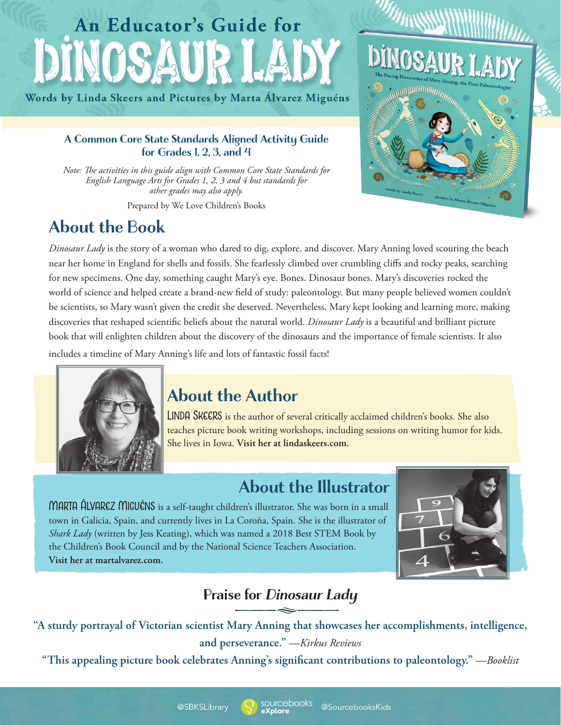# An Educator's Guide for

Words by Linda Skeers and Pictures by Marta Álvarez Miguéns

#### A Common Core State Standards Aligned Activity Guide for Grades 1, 2, 3, and 4

*Note: The activities in this guide align with Common Core State Standards for English Language Arts for Grades 1, 2, 3 and 4 but standards for other grades may also apply.* 

Prepared by We Love Children's Books

# About the Book

*Dinosaur Lady* is the story of a woman who dared to dig, explore, and discover. Mary Anning loved scouring the beach near her home in England for shells and fossils. She fearlessly climbed over crumbling cliffs and rocky peaks, searching for new specimens. One day, something caught Mary's eye. Bones. Dinosaur bones. Mary's discoveries rocked the world of science and helped create a brand-new field of study: paleontology. But many people believed women couldn't be scientists, so Mary wasn't given the credit she deserved. Nevertheless, Mary kept looking and learning more, making discoveries that reshaped scientific beliefs about the natural world. *Dinosaur Lady* is a beautiful and brilliant picture book that will enlighten children about the discovery of the dinosaurs and the importance of female scientists. It also includes a timeline of Mary Anning's life and lots of fantastic fossil facts!



# About the Author

LINDA SKEERS is the author of several critically acclaimed children's books. She also teaches picture book writing workshops, including sessions on writing humor for kids. She lives in Iowa. **Visit her at lindaskeers.com.**

# About the Illustrator

Marta Álvarez Miguéns is a self-taught children's illustrator. She was born in a small town in Galicia, Spain, and currently lives in La Coroña, Spain. She is the illustrator of *Shark Lady* (written by Jess Keating), which was named a 2018 Best STEM Book by the Children's Book Council and by the National Science Teachers Association. **Visit her at martalvarez.com.**



## Praise for Dinosaur Lady

**"A sturdy portrayal of Victorian scientist Mary Anning that showcases her accomplishments, intelligence, and perseverance."** —*Kirkus Reviews*  e **101 DINOSAUT LA<br>
lary Anning that show**<br>
severance." —*Kirkus Re* 

**"This appealing picture book celebrates Anning's significant contributions to paleontology."** —*Booklist*

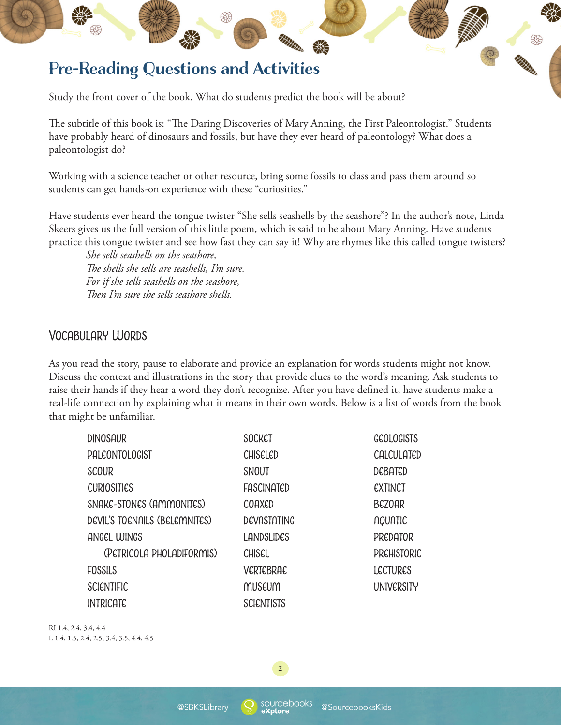# Pre-Reading Questions and Activities

Study the front cover of the book. What do students predict the book will be about?

The subtitle of this book is: "The Daring Discoveries of Mary Anning, the First Paleontologist." Students have probably heard of dinosaurs and fossils, but have they ever heard of paleontology? What does a paleontologist do?

Working with a science teacher or other resource, bring some fossils to class and pass them around so students can get hands-on experience with these "curiosities."

Have students ever heard the tongue twister "She sells seashells by the seashore"? In the author's note, Linda Skeers gives us the full version of this little poem, which is said to be about Mary Anning. Have students practice this tongue twister and see how fast they can say it! Why are rhymes like this called tongue twisters?

*She sells seashells on the seashore, The shells she sells are seashells, I'm sure. For if she sells seashells on the seashore, Then I'm sure she sells seashore shells.*

## Vocabulary Words

As you read the story, pause to elaborate and provide an explanation for words students might not know. Discuss the context and illustrations in the story that provide clues to the word's meaning. Ask students to raise their hands if they hear a word they don't recognize. After you have defined it, have students make a real-life connection by explaining what it means in their own words. Below is a list of words from the book that might be unfamiliar.

| <b>DINOSAUR</b>               | <b>SOCKET</b>      | <b>GEOLOGISTS</b>  |
|-------------------------------|--------------------|--------------------|
| PALEONTOLOGIST                | <b>CHISELED</b>    | CALCULATED         |
| <b>SCOUR</b>                  | SNOUT              | DEBATED            |
| <b>CURIOSITIES</b>            | FASCINATED         | <b>EXTINCT</b>     |
| SNAKE-STONES (AMMONITES)      | COAXED             | <b>BEZOAR</b>      |
| DEVIL'S TOENAILS (BELEMNITES) | <b>DEVASTATING</b> | AQUATIC            |
| ANGEL WINGS                   | LANDSLIDES         | PREDATOR           |
| (PETRICOLA PHOLADIFORMIS)     | <b>CHISEL</b>      | <b>PREHISTORIC</b> |
| FOSSILS                       | VERTEBRAE          | <b>LECTURES</b>    |
| <b>SCIENTIFIC</b>             | <b>MUSEUM</b>      | <b>UNIVERSITY</b>  |
| <b>INTRICATE</b>              | <b>SCIENTISTS</b>  |                    |

RI 1.4, 2.4, 3.4, 4.4 L 1.4, 1.5, 2.4, 2.5, 3.4, 3.5, 4.4, 4.5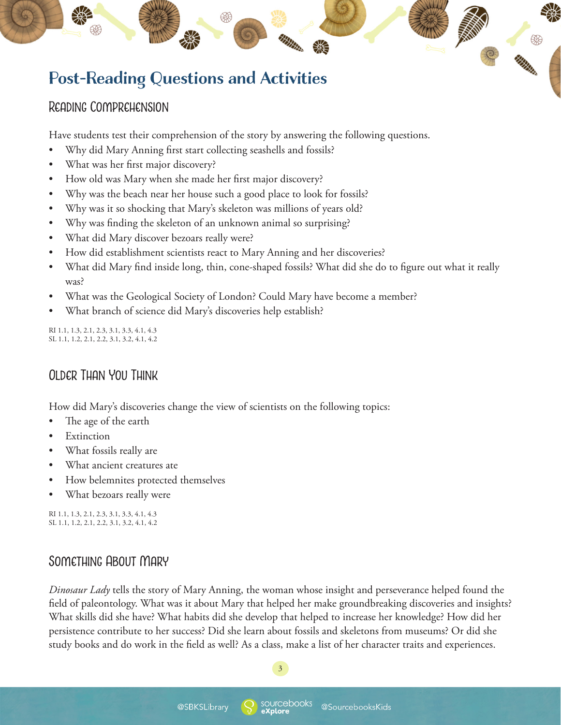# Post-Reading Questions and Activities

## Reading Comprehension

Have students test their comprehension of the story by answering the following questions.

- Why did Mary Anning first start collecting seashells and fossils?
- What was her first major discovery?
- How old was Mary when she made her first major discovery?
- Why was the beach near her house such a good place to look for fossils?
- Why was it so shocking that Mary's skeleton was millions of years old?
- Why was finding the skeleton of an unknown animal so surprising?
- What did Mary discover bezoars really were?
- How did establishment scientists react to Mary Anning and her discoveries?
- What did Mary find inside long, thin, cone-shaped fossils? What did she do to figure out what it really was?
- What was the Geological Society of London? Could Mary have become a member?
- What branch of science did Mary's discoveries help establish?

RI 1.1, 1.3, 2.1, 2.3, 3.1, 3.3, 4.1, 4.3 SL 1.1, 1.2, 2.1, 2.2, 3.1, 3.2, 4.1, 4.2

## Older Than You Think

How did Mary's discoveries change the view of scientists on the following topics:

- The age of the earth
- **Extinction**
- What fossils really are
- What ancient creatures ate
- How belemnites protected themselves
- What bezoars really were

RI 1.1, 1.3, 2.1, 2.3, 3.1, 3.3, 4.1, 4.3 SL 1.1, 1.2, 2.1, 2.2, 3.1, 3.2, 4.1, 4.2

## Something About Mary

*Dinosaur Lady* tells the story of Mary Anning, the woman whose insight and perseverance helped found the field of paleontology. What was it about Mary that helped her make groundbreaking discoveries and insights? What skills did she have? What habits did she develop that helped to increase her knowledge? How did her persistence contribute to her success? Did she learn about fossils and skeletons from museums? Or did she study books and do work in the field as well? As a class, make a list of her character traits and experiences.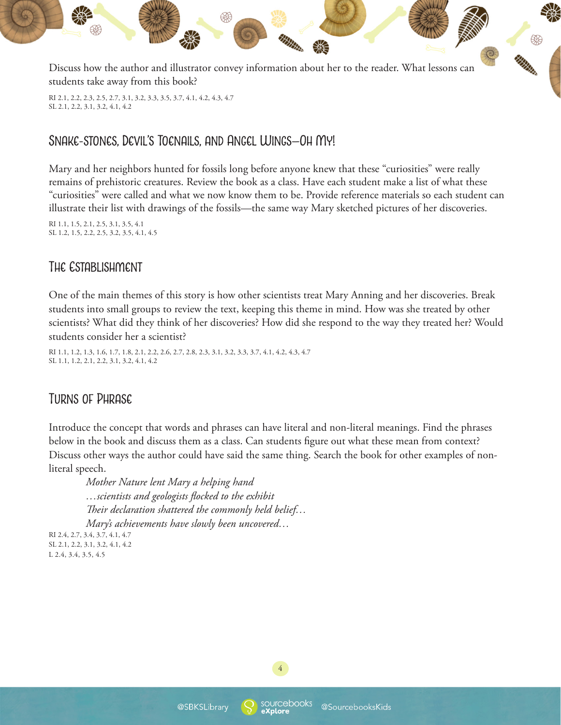Discuss how the author and illustrator convey information about her to the reader. What lessons can students take away from this book?

RI 2.1, 2.2, 2.3, 2.5, 2.7, 3.1, 3.2, 3.3, 3.5, 3.7, 4.1, 4.2, 4.3, 4.7 SL 2.1, 2.2, 3.1, 3.2, 4.1, 4.2

## Snake-stones, Devil's Toenails, and Angel Wings—Oh My!

Mary and her neighbors hunted for fossils long before anyone knew that these "curiosities" were really remains of prehistoric creatures. Review the book as a class. Have each student make a list of what these "curiosities" were called and what we now know them to be. Provide reference materials so each student can illustrate their list with drawings of the fossils—the same way Mary sketched pictures of her discoveries.

RI 1.1, 1.5, 2.1, 2.5, 3.1, 3.5, 4.1 SL 1.2, 1.5, 2.2, 2.5, 3.2, 3.5, 4.1, 4.5

## The Establishment

One of the main themes of this story is how other scientists treat Mary Anning and her discoveries. Break students into small groups to review the text, keeping this theme in mind. How was she treated by other scientists? What did they think of her discoveries? How did she respond to the way they treated her? Would students consider her a scientist?

RI 1.1, 1.2, 1.3, 1.6, 1.7, 1.8, 2.1, 2.2, 2.6, 2.7, 2.8, 2.3, 3.1, 3.2, 3.3, 3.7, 4.1, 4.2, 4.3, 4.7 SL 1.1, 1.2, 2.1, 2.2, 3.1, 3.2, 4.1, 4.2

## Turns of Phrase

Introduce the concept that words and phrases can have literal and non-literal meanings. Find the phrases below in the book and discuss them as a class. Can students figure out what these mean from context? Discuss other ways the author could have said the same thing. Search the book for other examples of nonliteral speech.

*Mother Nature lent Mary a helping hand …scientists and geologists flocked to the exhibit Their declaration shattered the commonly held belief… Mary's achievements have slowly been uncovered…* RI 2.4, 2.7, 3.4, 3.7, 4.1, 4.7 SL 2.1, 2.2, 3.1, 3.2, 4.1, 4.2 L 2.4, 3.4, 3.5, 4.5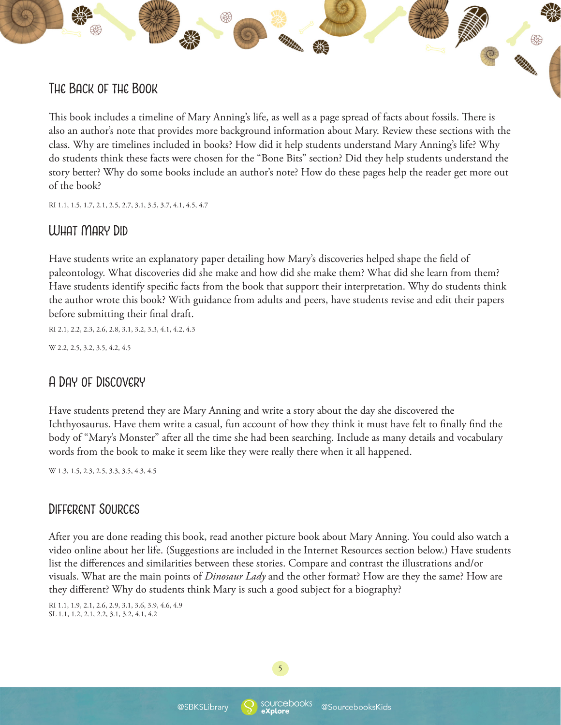## The Back of the Book

This book includes a timeline of Mary Anning's life, as well as a page spread of facts about fossils. There is also an author's note that provides more background information about Mary. Review these sections with the class. Why are timelines included in books? How did it help students understand Mary Anning's life? Why do students think these facts were chosen for the "Bone Bits" section? Did they help students understand the story better? Why do some books include an author's note? How do these pages help the reader get more out of the book?

RI 1.1, 1.5, 1.7, 2.1, 2.5, 2.7, 3.1, 3.5, 3.7, 4.1, 4.5, 4.7

## What Mary Did

Have students write an explanatory paper detailing how Mary's discoveries helped shape the field of paleontology. What discoveries did she make and how did she make them? What did she learn from them? Have students identify specific facts from the book that support their interpretation. Why do students think the author wrote this book? With guidance from adults and peers, have students revise and edit their papers before submitting their final draft.

RI 2.1, 2.2, 2.3, 2.6, 2.8, 3.1, 3.2, 3.3, 4.1, 4.2, 4.3 W 2.2, 2.5, 3.2, 3.5, 4.2, 4.5

## A Day of Discovery

Have students pretend they are Mary Anning and write a story about the day she discovered the Ichthyosaurus. Have them write a casual, fun account of how they think it must have felt to finally find the body of "Mary's Monster" after all the time she had been searching. Include as many details and vocabulary words from the book to make it seem like they were really there when it all happened.

W 1.3, 1.5, 2.3, 2.5, 3.3, 3.5, 4.3, 4.5

## Different Sources

After you are done reading this book, read another picture book about Mary Anning. You could also watch a video online about her life. (Suggestions are included in the Internet Resources section below.) Have students list the differences and similarities between these stories. Compare and contrast the illustrations and/or visuals. What are the main points of *Dinosaur Lady* and the other format? How are they the same? How are they different? Why do students think Mary is such a good subject for a biography?

RI 1.1, 1.9, 2.1, 2.6, 2.9, 3.1, 3.6, 3.9, 4.6, 4.9 SL 1.1, 1.2, 2.1, 2.2, 3.1, 3.2, 4.1, 4.2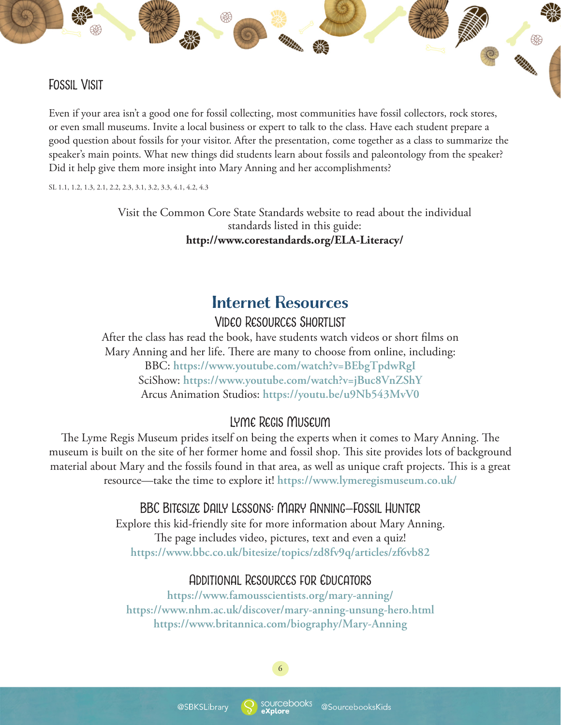## Fossil Visit

Even if your area isn't a good one for fossil collecting, most communities have fossil collectors, rock stores, or even small museums. Invite a local business or expert to talk to the class. Have each student prepare a good question about fossils for your visitor. After the presentation, come together as a class to summarize the speaker's main points. What new things did students learn about fossils and paleontology from the speaker? Did it help give them more insight into Mary Anning and her accomplishments?

SL 1.1, 1.2, 1.3, 2.1, 2.2, 2.3, 3.1, 3.2, 3.3, 4.1, 4.2, 4.3

Visit the Common Core State Standards website to read about the individual standards listed in this guide: **http://www.corestandards.org/ELA-Literacy/**

## Internet Resources

Video Resources Shortlist

After the class has read the book, have students watch videos or short films on Mary Anning and her life. There are many to choose from online, including: BBC: **https://www.youtube.com/watch?v=BEbgTpdwRgI** SciShow: **https://www.youtube.com/watch?v=jBuc8VnZShY** Arcus Animation Studios: **https://youtu.be/u9Nb543MvV0**

## Lyme Regis Museum

The Lyme Regis Museum prides itself on being the experts when it comes to Mary Anning. The museum is built on the site of her former home and fossil shop. This site provides lots of background material about Mary and the fossils found in that area, as well as unique craft projects. This is a great resource—take the time to explore it! **https://www.lymeregismuseum.co.uk/**

BBC Bitesize Daily Lessons: Mary Anning—Fossil Hunter

Explore this kid-friendly site for more information about Mary Anning. The page includes video, pictures, text and even a quiz! **https://www.bbc.co.uk/bitesize/topics/zd8fv9q/articles/zf6vb82**

## Additional Resources for Educators

**https://www.famousscientists.org/mary-anning/ https://www.nhm.ac.uk/discover/mary-anning-unsung-hero.html https://www.britannica.com/biography/Mary-Anning**

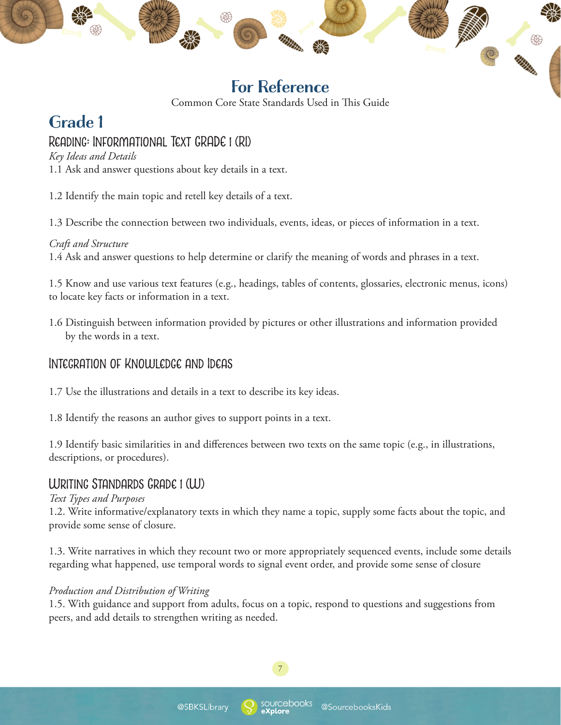

# For Reference

Common Core State Standards Used in This Guide

# Grade 1

## Reading: Informational Text GRADE 1 (RI)

*Key Ideas and Details*

1.1 Ask and answer questions about key details in a text.

1.2 Identify the main topic and retell key details of a text.

1.3 Describe the connection between two individuals, events, ideas, or pieces of information in a text.

#### *Craft and Structure*

1.4 Ask and answer questions to help determine or clarify the meaning of words and phrases in a text.

1.5 Know and use various text features (e.g., headings, tables of contents, glossaries, electronic menus, icons) to locate key facts or information in a text.

1.6 Distinguish between information provided by pictures or other illustrations and information provided by the words in a text.

## Integration of Knowledge and Ideas

- 1.7 Use the illustrations and details in a text to describe its key ideas.
- 1.8 Identify the reasons an author gives to support points in a text.

1.9 Identify basic similarities in and differences between two texts on the same topic (e.g., in illustrations, descriptions, or procedures).

## Writing Standards Grade 1 (W)

#### *Text Types and Purposes*

1.2. Write informative/explanatory texts in which they name a topic, supply some facts about the topic, and provide some sense of closure.

1.3. Write narratives in which they recount two or more appropriately sequenced events, include some details regarding what happened, use temporal words to signal event order, and provide some sense of closure

#### *Production and Distribution of Writing*

1.5. With guidance and support from adults, focus on a topic, respond to questions and suggestions from peers, and add details to strengthen writing as needed.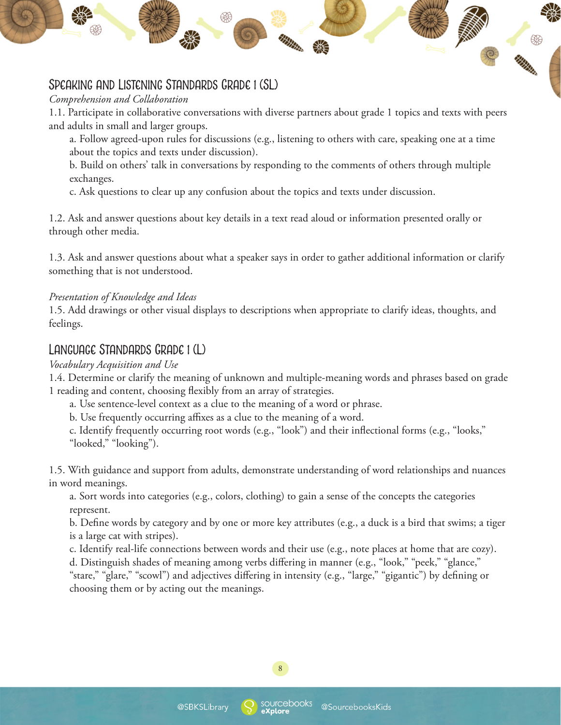## Speaking and Listening Standards Grade 1 (SL)

*Comprehension and Collaboration*

1.1. Participate in collaborative conversations with diverse partners about grade 1 topics and texts with peers and adults in small and larger groups.

a. Follow agreed-upon rules for discussions (e.g., listening to others with care, speaking one at a time about the topics and texts under discussion).

b. Build on others' talk in conversations by responding to the comments of others through multiple exchanges.

c. Ask questions to clear up any confusion about the topics and texts under discussion.

1.2. Ask and answer questions about key details in a text read aloud or information presented orally or through other media.

1.3. Ask and answer questions about what a speaker says in order to gather additional information or clarify something that is not understood.

#### *Presentation of Knowledge and Ideas*

1.5. Add drawings or other visual displays to descriptions when appropriate to clarify ideas, thoughts, and feelings.

## Language Standards Grade 1 (L)

*Vocabulary Acquisition and Use*

1.4. Determine or clarify the meaning of unknown and multiple-meaning words and phrases based on grade 1 reading and content, choosing flexibly from an array of strategies.

a. Use sentence-level context as a clue to the meaning of a word or phrase.

b. Use frequently occurring affixes as a clue to the meaning of a word.

c. Identify frequently occurring root words (e.g., "look") and their inflectional forms (e.g., "looks," "looked," "looking").

1.5. With guidance and support from adults, demonstrate understanding of word relationships and nuances in word meanings.

a. Sort words into categories (e.g., colors, clothing) to gain a sense of the concepts the categories represent.

b. Define words by category and by one or more key attributes (e.g., a duck is a bird that swims; a tiger is a large cat with stripes).

c. Identify real-life connections between words and their use (e.g., note places at home that are cozy).

d. Distinguish shades of meaning among verbs differing in manner (e.g., "look," "peek," "glance," "stare," "glare," "scowl") and adjectives differing in intensity (e.g., "large," "gigantic") by defining or

choosing them or by acting out the meanings.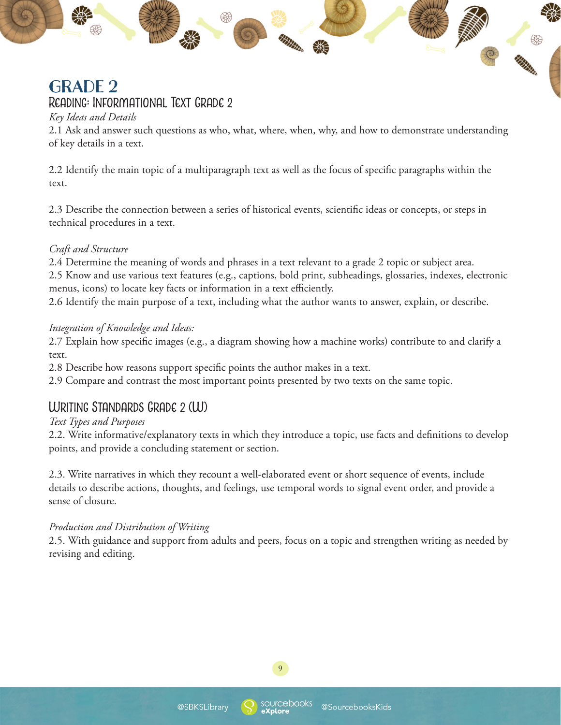## GRADE 2 Reading: Informational Text Grade 2

*Key Ideas and Details*

2.1 Ask and answer such questions as who, what, where, when, why, and how to demonstrate understanding of key details in a text.

2.2 Identify the main topic of a multiparagraph text as well as the focus of specific paragraphs within the text.

2.3 Describe the connection between a series of historical events, scientific ideas or concepts, or steps in technical procedures in a text.

#### *Craft and Structure*

2.4 Determine the meaning of words and phrases in a text relevant to a grade 2 topic or subject area. 2.5 Know and use various text features (e.g., captions, bold print, subheadings, glossaries, indexes, electronic menus, icons) to locate key facts or information in a text efficiently.

2.6 Identify the main purpose of a text, including what the author wants to answer, explain, or describe.

#### *Integration of Knowledge and Ideas:*

2.7 Explain how specific images (e.g., a diagram showing how a machine works) contribute to and clarify a text.

2.8 Describe how reasons support specific points the author makes in a text.

2.9 Compare and contrast the most important points presented by two texts on the same topic.

## Writing Standards Grade 2 (W)

*Text Types and Purposes*

2.2. Write informative/explanatory texts in which they introduce a topic, use facts and definitions to develop points, and provide a concluding statement or section.

2.3. Write narratives in which they recount a well-elaborated event or short sequence of events, include details to describe actions, thoughts, and feelings, use temporal words to signal event order, and provide a sense of closure.

#### *Production and Distribution of Writing*

2.5. With guidance and support from adults and peers, focus on a topic and strengthen writing as needed by revising and editing.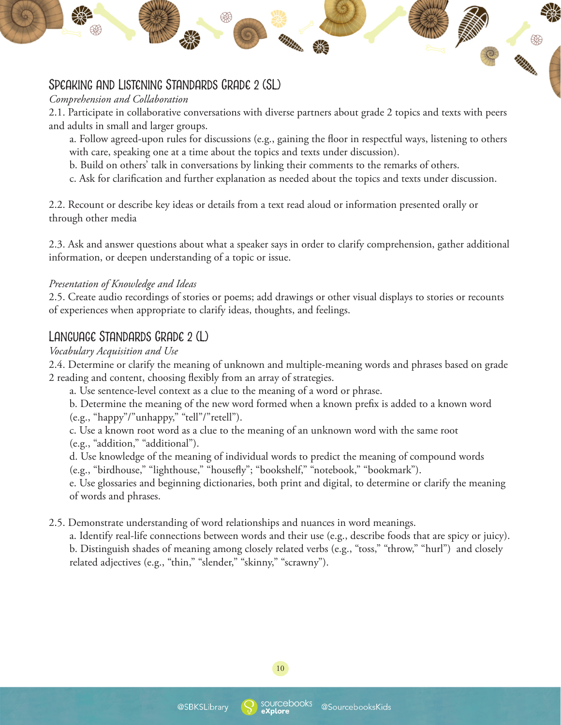## Speaking and Listening Standards Grade 2 (SL)

*Comprehension and Collaboration*

2.1. Participate in collaborative conversations with diverse partners about grade 2 topics and texts with peers and adults in small and larger groups.

a. Follow agreed-upon rules for discussions (e.g., gaining the floor in respectful ways, listening to others with care, speaking one at a time about the topics and texts under discussion).

b. Build on others' talk in conversations by linking their comments to the remarks of others.

c. Ask for clarification and further explanation as needed about the topics and texts under discussion.

2.2. Recount or describe key ideas or details from a text read aloud or information presented orally or through other media

2.3. Ask and answer questions about what a speaker says in order to clarify comprehension, gather additional information, or deepen understanding of a topic or issue.

#### *Presentation of Knowledge and Ideas*

2.5. Create audio recordings of stories or poems; add drawings or other visual displays to stories or recounts of experiences when appropriate to clarify ideas, thoughts, and feelings.

## Language Standards Grade 2 (L)

*Vocabulary Acquisition and Use*

2.4. Determine or clarify the meaning of unknown and multiple-meaning words and phrases based on grade 2 reading and content, choosing flexibly from an array of strategies.

a. Use sentence-level context as a clue to the meaning of a word or phrase.

b. Determine the meaning of the new word formed when a known prefix is added to a known word (e.g., "happy"/"unhappy," "tell"/"retell").

c. Use a known root word as a clue to the meaning of an unknown word with the same root (e.g., "addition," "additional").

d. Use knowledge of the meaning of individual words to predict the meaning of compound words (e.g., "birdhouse," "lighthouse," "housefly"; "bookshelf," "notebook," "bookmark").

e. Use glossaries and beginning dictionaries, both print and digital, to determine or clarify the meaning of words and phrases.

2.5. Demonstrate understanding of word relationships and nuances in word meanings.

a. Identify real-life connections between words and their use (e.g., describe foods that are spicy or juicy). b. Distinguish shades of meaning among closely related verbs (e.g., "toss," "throw," "hurl") and closely related adjectives (e.g., "thin," "slender," "skinny," "scrawny").

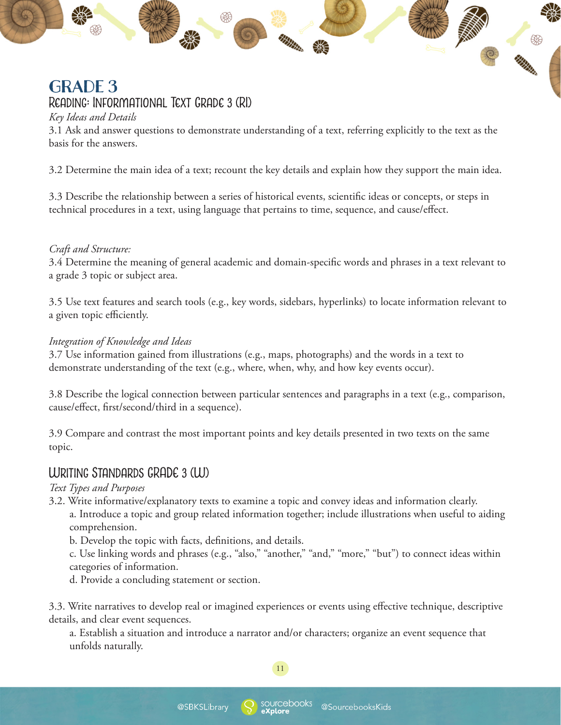# GRADE 3

Reading: Informational Text Grade 3 (RI)

*Key Ideas and Details*

3.1 Ask and answer questions to demonstrate understanding of a text, referring explicitly to the text as the basis for the answers.

3.2 Determine the main idea of a text; recount the key details and explain how they support the main idea.

3.3 Describe the relationship between a series of historical events, scientific ideas or concepts, or steps in technical procedures in a text, using language that pertains to time, sequence, and cause/effect.

## *Craft and Structure:*

3.4 Determine the meaning of general academic and domain-specific words and phrases in a text relevant to a grade 3 topic or subject area.

3.5 Use text features and search tools (e.g., key words, sidebars, hyperlinks) to locate information relevant to a given topic efficiently.

## *Integration of Knowledge and Ideas*

3.7 Use information gained from illustrations (e.g., maps, photographs) and the words in a text to demonstrate understanding of the text (e.g., where, when, why, and how key events occur).

3.8 Describe the logical connection between particular sentences and paragraphs in a text (e.g., comparison, cause/effect, first/second/third in a sequence).

3.9 Compare and contrast the most important points and key details presented in two texts on the same topic.

## Writing Standards GRADE 3 (W)

*Text Types and Purposes*

3.2. Write informative/explanatory texts to examine a topic and convey ideas and information clearly. a. Introduce a topic and group related information together; include illustrations when useful to aiding comprehension.

b. Develop the topic with facts, definitions, and details.

c. Use linking words and phrases (e.g., "also," "another," "and," "more," "but") to connect ideas within categories of information.

d. Provide a concluding statement or section.

3.3. Write narratives to develop real or imagined experiences or events using effective technique, descriptive details, and clear event sequences.

a. Establish a situation and introduce a narrator and/or characters; organize an event sequence that unfolds naturally.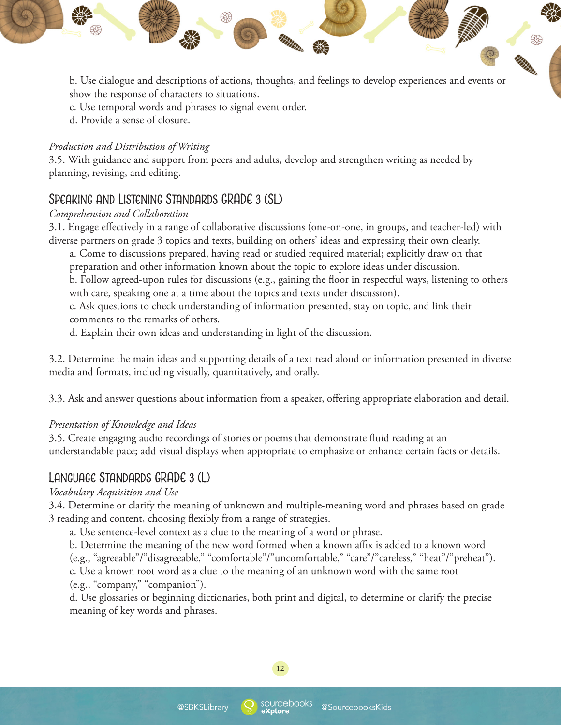b. Use dialogue and descriptions of actions, thoughts, and feelings to develop experiences and events or show the response of characters to situations.

- c. Use temporal words and phrases to signal event order.
- d. Provide a sense of closure.

#### *Production and Distribution of Writing*

3.5. With guidance and support from peers and adults, develop and strengthen writing as needed by planning, revising, and editing.

## Speaking and Listening Standards GRADE 3 (SL)

#### *Comprehension and Collaboration*

3.1. Engage effectively in a range of collaborative discussions (one-on-one, in groups, and teacher-led) with diverse partners on grade 3 topics and texts, building on others' ideas and expressing their own clearly.

a. Come to discussions prepared, having read or studied required material; explicitly draw on that preparation and other information known about the topic to explore ideas under discussion.

b. Follow agreed-upon rules for discussions (e.g., gaining the floor in respectful ways, listening to others with care, speaking one at a time about the topics and texts under discussion).

c. Ask questions to check understanding of information presented, stay on topic, and link their comments to the remarks of others.

d. Explain their own ideas and understanding in light of the discussion.

3.2. Determine the main ideas and supporting details of a text read aloud or information presented in diverse media and formats, including visually, quantitatively, and orally.

3.3. Ask and answer questions about information from a speaker, offering appropriate elaboration and detail.

#### *Presentation of Knowledge and Ideas*

3.5. Create engaging audio recordings of stories or poems that demonstrate fluid reading at an understandable pace; add visual displays when appropriate to emphasize or enhance certain facts or details.

#### Language Standards GRADE 3 (L)

*Vocabulary Acquisition and Use*

3.4. Determine or clarify the meaning of unknown and multiple-meaning word and phrases based on grade 3 reading and content, choosing flexibly from a range of strategies.

a. Use sentence-level context as a clue to the meaning of a word or phrase.

b. Determine the meaning of the new word formed when a known affix is added to a known word (e.g., "agreeable"/"disagreeable," "comfortable"/"uncomfortable," "care"/"careless," "heat"/"preheat"). c. Use a known root word as a clue to the meaning of an unknown word with the same root (e.g., "company," "companion").

d. Use glossaries or beginning dictionaries, both print and digital, to determine or clarify the precise meaning of key words and phrases.

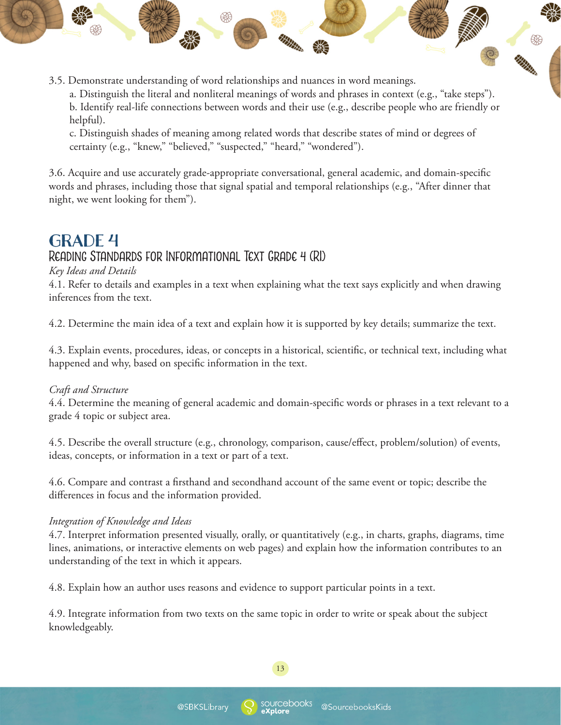3.5. Demonstrate understanding of word relationships and nuances in word meanings.

a. Distinguish the literal and nonliteral meanings of words and phrases in context (e.g., "take steps"). b. Identify real-life connections between words and their use (e.g., describe people who are friendly or helpful).

c. Distinguish shades of meaning among related words that describe states of mind or degrees of certainty (e.g., "knew," "believed," "suspected," "heard," "wondered").

3.6. Acquire and use accurately grade-appropriate conversational, general academic, and domain-specific words and phrases, including those that signal spatial and temporal relationships (e.g., "After dinner that night, we went looking for them").

## GRADE 4 Reading Standards for Informational Text Grade 4 (RI)

#### *Key Ideas and Details*

4.1. Refer to details and examples in a text when explaining what the text says explicitly and when drawing inferences from the text.

4.2. Determine the main idea of a text and explain how it is supported by key details; summarize the text.

4.3. Explain events, procedures, ideas, or concepts in a historical, scientific, or technical text, including what happened and why, based on specific information in the text.

#### *Craft and Structure*

4.4. Determine the meaning of general academic and domain-specific words or phrases in a text relevant to a grade 4 topic or subject area.

4.5. Describe the overall structure (e.g., chronology, comparison, cause/effect, problem/solution) of events, ideas, concepts, or information in a text or part of a text.

4.6. Compare and contrast a firsthand and secondhand account of the same event or topic; describe the differences in focus and the information provided.

#### *Integration of Knowledge and Ideas*

4.7. Interpret information presented visually, orally, or quantitatively (e.g., in charts, graphs, diagrams, time lines, animations, or interactive elements on web pages) and explain how the information contributes to an understanding of the text in which it appears.

4.8. Explain how an author uses reasons and evidence to support particular points in a text.

4.9. Integrate information from two texts on the same topic in order to write or speak about the subject knowledgeably.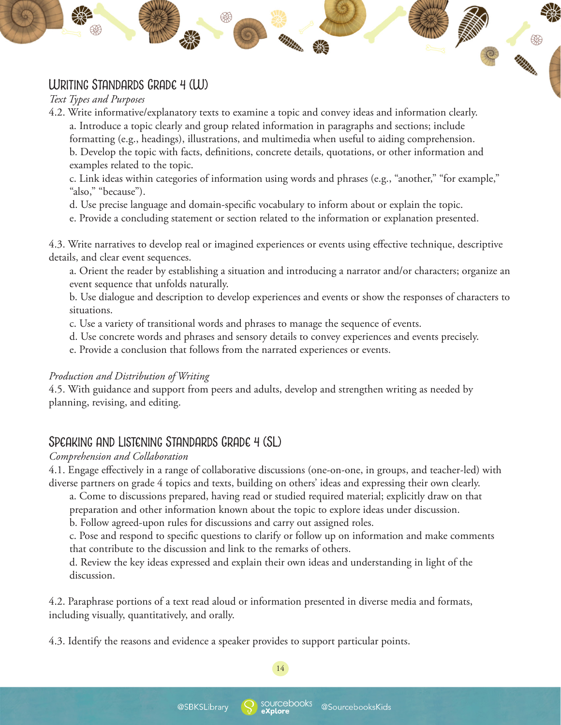## Writing Standards Grade 4 (W)

*Text Types and Purposes*

4.2. Write informative/explanatory texts to examine a topic and convey ideas and information clearly. a. Introduce a topic clearly and group related information in paragraphs and sections; include formatting (e.g., headings), illustrations, and multimedia when useful to aiding comprehension. b. Develop the topic with facts, definitions, concrete details, quotations, or other information and examples related to the topic.

c. Link ideas within categories of information using words and phrases (e.g., "another," "for example," "also," "because").

d. Use precise language and domain-specific vocabulary to inform about or explain the topic.

e. Provide a concluding statement or section related to the information or explanation presented.

4.3. Write narratives to develop real or imagined experiences or events using effective technique, descriptive details, and clear event sequences.

a. Orient the reader by establishing a situation and introducing a narrator and/or characters; organize an event sequence that unfolds naturally.

b. Use dialogue and description to develop experiences and events or show the responses of characters to situations.

c. Use a variety of transitional words and phrases to manage the sequence of events.

- d. Use concrete words and phrases and sensory details to convey experiences and events precisely.
- e. Provide a conclusion that follows from the narrated experiences or events.

#### *Production and Distribution of Writing*

4.5. With guidance and support from peers and adults, develop and strengthen writing as needed by planning, revising, and editing.

## Speaking and Listening Standards Grade 4 (SL)

#### *Comprehension and Collaboration*

4.1. Engage effectively in a range of collaborative discussions (one-on-one, in groups, and teacher-led) with diverse partners on grade 4 topics and texts, building on others' ideas and expressing their own clearly.

a. Come to discussions prepared, having read or studied required material; explicitly draw on that preparation and other information known about the topic to explore ideas under discussion.

b. Follow agreed-upon rules for discussions and carry out assigned roles.

c. Pose and respond to specific questions to clarify or follow up on information and make comments that contribute to the discussion and link to the remarks of others.

d. Review the key ideas expressed and explain their own ideas and understanding in light of the discussion.

4.2. Paraphrase portions of a text read aloud or information presented in diverse media and formats, including visually, quantitatively, and orally.

4.3. Identify the reasons and evidence a speaker provides to support particular points.